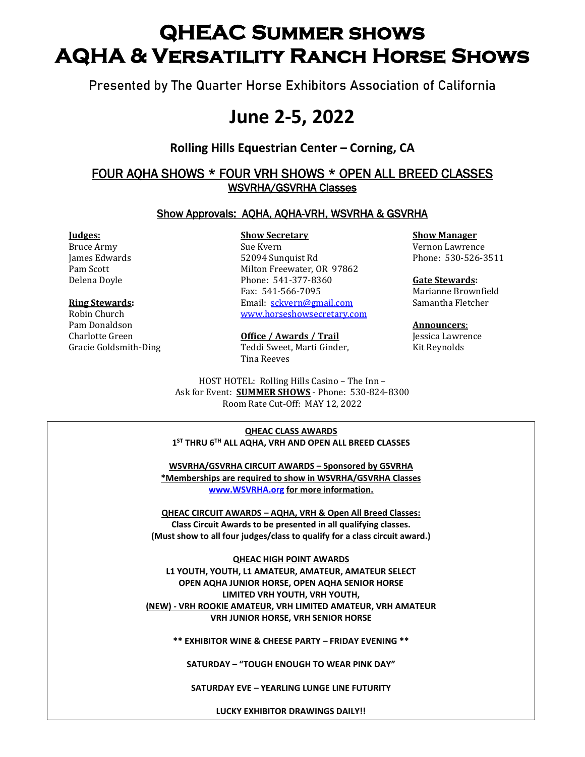# **QHEAC Summer shows AQHA & Versatility Ranch Horse Shows**

**Presented by The Quarter Horse Exhibitors Association of California**

# **June 2-5, 2022**

## **Rolling Hills Equestrian Center – Corning, CA**

## FOUR AQHA SHOWS \* FOUR VRH SHOWS \* OPEN ALL BREED CLASSES WSVRHA/GSVRHA Classes

### Show Approvals: AQHA, AQHA-VRH, WSVRHA & GSVRHA

Pam Donaldson **Announcers**:

Bruce Army Sue Kvern Sue Kvern Vernon Lawrence James Edwards 52094 Sunquist Rd Phone: 530-526-3511 Pam Scott Milton Freewater, OR 97862 Delena Doyle Phone: 541-377-8360 **Gate Stewards:** Fax: 541-566-7095 Marianne Brownfield **Ring Stewards:** Email: [sckvern@gmail.com](mailto:sckvern@gmail.com) Samantha Fletcher Robin Church [www.horseshowsecretary.com](http://www.horseshowsecretary.com/)

Charlotte Green **Office / Awards / Trail** Jessica Lawrence Gracie Goldsmith-Ding Teddi Sweet, Marti Ginder, Kit Reynolds Tina Reeves

> HOST HOTEL: Rolling Hills Casino – The Inn – Ask for Event: **SUMMER SHOWS** - Phone: 530-824-8300 Room Rate Cut-Off: MAY 12, 2022

**Judges: Show Secretary Show Manager** 

 **Host Hotels – Mention Wine & Roses or QHEAC QHEAC CLASS AWARDS 1 ST THRU 6TH ALL AQHA, VRH AND OPEN ALL BREED CLASSES**

**Rolling Hills Casino - The Inn -** 530-824-8300 **WSVRHA/GSVRHA CIRCUIT AWARDS – Sponsored by GSVRHA \*Memberships are required to show in WSVRHA/GSVRHA Classes [www.WSVRHA.org](http://www.wsvrha.org/) for more information.**

**QHEAC CIRCUIT AWARDS – AQHA, VRH & Open All Breed Classes: Class Circuit Awards to be presented in all qualifying classes. (Must show to all four judges/class to qualify for a class circuit award.)**

**QHEAC HIGH POINT AWARDS L1 YOUTH, YOUTH, L1 AMATEUR, AMATEUR, AMATEUR SELECT OPEN AQHA JUNIOR HORSE, OPEN AQHA SENIOR HORSE LIMITED VRH YOUTH, VRH YOUTH, (NEW) - VRH ROOKIE AMATEUR, VRH LIMITED AMATEUR, VRH AMATEUR VRH JUNIOR HORSE, VRH SENIOR HORSE**

**\*\* EXHIBITOR WINE & CHEESE PARTY – FRIDAY EVENING \*\***

**SATURDAY – "TOUGH ENOUGH TO WEAR PINK DAY"**

**SATURDAY EVE – YEARLING LUNGE LINE FUTURITY**

**LUCKY EXHIBITOR DRAWINGS DAILY!!**